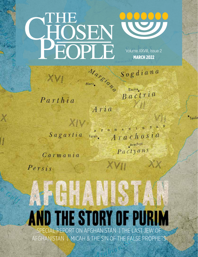

Volume XXVIII, Issue 2 **MARCH 2022** 

Sogdiana

 $P$ arthia

Bactra Bactria 才越

XX

Taxila

Aria

 $XIV$  $\begin{array}{ccccccccccccc} \textbf{O} & \textbf{H} & \textbf{A} & \textbf{N} & \textbf{I} & \textbf{S} & \textbf{T} & \textbf{A} \end{array}$ Sagartia Arachosia Farah. Arachoti Pactyans

 $\langle V \rangle$ 

Carmania

 $Persis$ 

# **JEH** AND THE STORY OF PU REPORT ON AFGHANISTAN | THE LAST

AFGHANISTAN | MICAH & THE SIN OF THE FALSE PROPHETS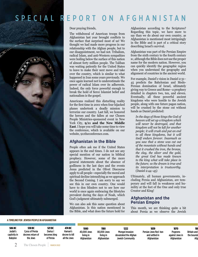# SPECIAL REPORT ON AFGHANISTAN

Dear praying friends,

The withdrawal of American troops from Afghanistan last year brought conflicts to the surface that surprised most of us! We thought we had made more progress in our relationship with the Afghan people, but to our disappointment, we had not. Tribalism, radical Islam, and anti-Western sympathies were boiling below the surface of this nation of almost forty million people. The Taliban was waiting patiently for the United States to leave to make their next move and take over the country, which is similar to what happened in Iran some years previously. We once again learned not to underestimate the power of radical Islam over its adherents. Indeed, the only force powerful enough to break the hold of fierce Islamist belief and nationalism is the gospel.

Americans realized this disturbing reality for the first time in 2001 when four hijacked planes undertook a deadly mission to terrorize our country. Last fall, we honored the heroes and the fallen at our Chosen People Ministries-sponsored event in New York City, **9/11 and the New Middle East**. I hope you will take some time to view the conference, which is available on our website, 911theconference.com.

#### **Afghanistan in the Bible**

People often ask me if the United States appears in the end times. I do not see any special mention of our nation in biblical prophecy. However, some of the more general statements about the absence of godliness in the last days and the events Jesus predicted in the Olivet Discourse apply to all people—especially the moral and spiritual decline intensifying as we approach the Second Coming. I am sorry to say we see this in our own country. One would have to don blinders not to see how our world is once again embracing the lifestyles prevalent during the days of Noah, which God's judgment ultimately submerged.

We can also ask this same question about Afghanistan. Is this nation mentioned in the Bible, and what does the future hold for Afghanistan according to the Scriptures? Regarding this topic, we have more to say than we do about our own country, as Afghanistan is mentioned most intriguingly in the Bible and is part of a critical story describing Israel's survival.

Afghanistan was part of the Persian Empire from the sixth century to the fourth century bc, although the Bible does not use the proper name for the modern nation. However, you can quickly identify the geographic region when you understand the geography and alignment of countries in the ancient world.

For example, Daniel's vision in Daniel 2:31– 45 predicts the Babylonian and Medo-Persian domination of Israel, ultimately giving way to Greece and Rome—a prophecy detailed in chapters two, ten, and eleven. Eventually, all these powerful ancient kingdoms who were hostile to the Jewish people, along with one future pagan nation, will be crushed by the stone cut without hands as Daniel predicted:

*In the days of those kings the God of heaven will set up a kingdom which will never be destroyed, and that kingdom will not be left for another people; it will crush and put an end to all these kingdoms, but it will itself endure forever. Inasmuch as you saw that a stone was cut out of the mountain without hands and that it crushed the iron, the bronze, the clay, the silver and the gold, the great God has made known to the king what will take place in the future; so the dream is true and its interpretation is trustworthy.*  (Daniel 2:44–45)

Ultimately, all human governments, including Persia and Afghanistan, are temporary and will fall in weakness and humility at the feet of the One and only true Creator and King!

#### **Afghanistan and the Persian Empire**

This month, we are thinking quite a bit about Persia as we observe the Jewish

#### A TIMELINE FOR JEWISH PEOPLE IN AFGHANISTAN

| 586 BC<br>Judah's<br>captivity in<br><b>Babylon</b> | 538 BC<br>Cvrus of Persia<br>decrees return of<br>the Jews | <b>521 BC</b><br>Darius I<br>becomes king<br>of Persia | 474 BC<br>Haman's<br>decree to kill<br>all the Jews | 1080<br>40.000 Jews<br>living in<br>Afahanistan | 1180<br>80,000 Jews<br>living in<br>Afghanistan | 1222<br><b>Mongol invasion</b><br>devastated the Afghan<br><b>Jewish Community</b> | 1839<br>Persian Jews fled Iran<br>and settled in<br>Afghanistan | 1870<br>Pogroms<br>against Jews in<br>Afghanistan | 18<br><b>Britain and</b><br>the bounda<br>Afg |
|-----------------------------------------------------|------------------------------------------------------------|--------------------------------------------------------|-----------------------------------------------------|-------------------------------------------------|-------------------------------------------------|------------------------------------------------------------------------------------|-----------------------------------------------------------------|---------------------------------------------------|-----------------------------------------------|
|                                                     | The Chosen People                                          | <b>MARCH 2022</b>                                      |                                                     |                                                 |                                                 |                                                                                    |                                                                 |                                                   |                                               |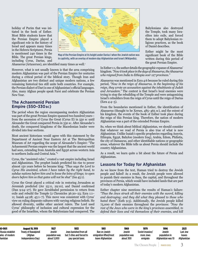holiday of Purim that was initiated in the book of Esther. Most Bible students know that the Persian Empire played a significant role in the history of Israel and appears many times in the Hebrew Scriptures. Persia is mentioned 240 times in the Bible. The great Persian kings, including Cyrus, Darius, and



**Map of the Persian Empire at its height under Darius I when the Jewish nation was in captivity, with an overlay of modern day Afghanistan and Israel (Wikipedia).**

Ahasuerus (Artaxerxes), are identified many times as well.<sup>1</sup>

However, what is not usually known is that the area comprising modern Afghanistan was part of the Persian Empire for centuries during a critical period of the biblical story. Though Iran and Afghanistan are two distinct and unique modern nations, a few remaining historical ties still unite both countries. For example, the Persian dialect of Dari is one of Afghanistan's official languages. Also, many Afghan people speak Farsi and celebrate the Persian New Year.

#### **The Achaemenid Persian Empire (550–330bc)**

The period when the region encompassing modern Afghanistan was part of the great Persian Empire spanned two hundred years from the ascension of Cyrus the Great (Cyrus II) in 550 bc until Alexander the Great conquered Persia in 330 bc. After Alexander's death, the conquered kingdoms of the Macedonian leader were divided into four sections.

Most ancient historians would agree with this statement by the Department of Ancient Near Eastern Art at The Metropolitan Museum of Art regarding the scope of Alexander's Empire: "The Achaemenid Persian empire was the largest that the ancient world had seen, extending from Anatolia and Egypt across western Asia to northern India and Central Asia."<sup>2</sup>

Cyrus, the "anointed ruler," created a vast empire including Israel and Afghanistan. The prophet Isaiah predicted his rise to power almost 150 years before he became king: *"Thus says the Lord to Cyrus His anointed, whom I have taken by the right hand, to subdue nations before him and to loose the loins of kings; to open doors before him so that gates will not be shut"* (Isa 45:1).

Cyrus the Great played a critical role in restoring Jerusalem as Jeremiah predicted (Jer 25:11, 29:10), and Daniel confirmed (Dan 9:24–27). He gave Zerubbabel permission to return from exile and rebuild the Temple (2 Chronicles 36:20–23; Ezra 1:1– 11; Isaiah 44:28; 45:1–7). This move was consistent with Cyrus' view on ruling disparate cultures with varying religious beliefs. He allowed diversity, unlike other ancient rulers. The Lord used Cyrus' philosophy of inclusion and cultural expression for the good of the Israelites, whom the Babylonians had conquered. The

Babylonians also destroyed the Temple, took many Israelites into exile, and forced them to adopt Babylonian religious practices, as the book of Daniel describes.

Esther might be the most significant book of the Bible written during this period of the great Persian Empire.

In Esther 1:1, the author details the geographic expanse of Ahasuerus' kingdom. *"Now it took place in the days of Ahasuerus, the Ahasuerus who reigned from India to Ethiopia over 127 provinces."*

Ahasuerus was mentioned in Ezra 4:6 because he ruled during this period, *"Now in the reign of Ahasuerus, in the beginning of his reign, they wrote an accusation against the inhabitants of Judah and Jerusalem."* The context is that Israel's local enemies were trying to stop the rebuilding of the Temple and were antagonizing Israel's rebuilders from the reign of Cyrus until the reign of Darius (Ezra 4:4–5).

From the boundaries mentioned in Esther, the identification of Ahasuerus (thought to be Xerxes, 485–465 bc), and the extent of his kingdom, the events of the book of Esther took place during the reign of this Persian king. Therefore, the nation of modern Afghanistan was a part of the extended Persian Empire.

So, when we think about biblical Afghanistan, we should consider that whatever we read of Persia is also true of what is now Afghanistan. Unlike Isaiah's specific prophecies regarding Assyria, Ethiopia, Egypt, Babylon (modern Iraq), Arabia, Edom, Philistia, the city of Damascus, and other identifiable nations or geographic areas, whatever the Bible tells us about Persia should include the country Afghanistan.

As a result, we learn quite a bit about the future of Persia and Afghanistan.

#### **Lessons for Today for Afghanistan**

As we know from the text, Haman tried to destroy the Jewish people and failed! As a result, the Jewish people were allowed to punish their enemies in Susa, the capital, and throughout the provinces of Persia, which would have included lands that are part of today's modern Afghanistan.

Esther chapter nine mentions the results of Haman's failure: *"Thus the Jews struck all their enemies with the sword, killing and destroying; and they did what they pleased to those who hated them"* (Esth 9:5). Additionally, the Jewish people killed 75,000 of their enemies throughout the provinces: *"Now the rest of the Jews who were in the king's provinces assembled, to defend their lives and rid themselves of their enemies, and kill* 

| 0-1901<br>Russia establish | <b>August 19, 1919</b><br><b>Treaty of Rawalpindi</b> | 1927<br>Jewish | 1933<br>Jews banished from all | 1951<br>Ban on Jewish  | 1969<br><b>Jewish</b> | 1979<br>Soviet invasion/ | 1996<br>Jewish     | 2021<br>Last Jew |
|----------------------------|-------------------------------------------------------|----------------|--------------------------------|------------------------|-----------------------|--------------------------|--------------------|------------------|
| aries of modern            | (Afghan                                               | population was | but 3 cities and forced to     | emigration lifted/most | population was        | more Jews                | population in      | leaves           |
| hanistan                   | Independence Day)                                     | about 5.000    | pay special taxes              | leave Afghanistan      | about 300             | emigrate                 | Afghanistan was 10 | Afghanistan      |
|                            |                                                       |                |                                |                        |                       |                          |                    |                  |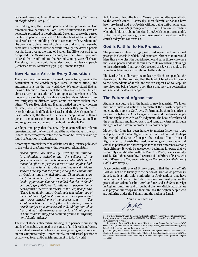#### *75,000 of those who hated them; but they did not lay their hands on the plunder"* (Esth 9:16).

By God's grace, the Jewish people and the promises of God remained alive because the Lord Himself intervened to save His people. As promised in the Abrahamic Covenant, those who cursed the Jewish people were cursed. The entire book of Esther should be viewed as the unfolding of God's covenant with Abraham and His promises to bless those who bless Israel and to curse those who curse her. His plan to bless the world through the Jewish people was far from over at the time of Esther. The Bible was still to be completed, the Messiah was to come, and the future repentance of Israel that would initiate the Second Coming were all ahead. Therefore, no one could have destroyed the Jewish people (Zechariah 12:10; Matthew 23:37–39; Romans 11:25ff.).

#### **New Hamans Arise in Every Generation**

There are new Hamans on the world scene today seeking the destruction of the Jewish people. Israel is under attack, and antisemitism is on the rise worldwide. We understand that all forms of Islamic extremism seek the destruction of Israel. Indeed, almost every manifestation of Islam opposes the existence of the modern State of Israel, though various brands of Islam express this antipathy in different ways. Some are more violent than others. We see Hezbollah and Hamas nestled on the very borders of Israel, perched and ready to attack when they are able. This everyday threat is difficult for Israel and the Jewish people. In these instances, the threat to the Jewish people is more than a person—a modern-day Haman—it is in the ideology, nationalism, and religious fervor of many throughout the Middle East.

We hope and pray that the new Afghanistan will not tolerate terrorism against the West and Israel the way they have in the past. Indeed, those who perpetrated the events of 9/11 twenty years ago found safe harbor in Afghanistan.

According to an article that the website Breaking Defense published in the wake of the American withdrawal from Afghanistan:

*Israeli officials are nervously watching the situation in Afghanistan, believing that the collapse of the government over the weekend will enable Al-Qaida to renew its efforts to perform terror attacks against both American and Israeli targets around the world. Defense sources here say that the feeling among the Taliban and Al-Qaida is that after defeating the US in Afghanistan, the "gate is wide open" to launch terror attacks from inside Afghanistan. One source added that the US should get ready [for] Al-Qaida [to] attempt to perform terror acts against American "interests" in the very near future. "There is no doubt that Al-Qaida will take advantage of the situation in Afghanistan to recruit more people and plan terror attacks" one of the sources said . . . . "The situation is bad, very bad," [Mordechai Kedar, a senior Israeli analyst on Islamic issues] said, adding that while Iran and the Taliban are not allies, certain Islamic groups in both countries may find common ground in targeting non-Islamic nations.3*

The rise of global antisemitism has begun to permeate our society and is often subtly wrapped in the guise of anti-Israelism. We see this virulent form of anti-Jewish behavior growing more prevalent on our campuses today. Unfortunately, an anti-Israel position is usually wed to an anti-Jewish sentiment in today's world.

As followers of Jesus the Jewish Messiah, we should be sympathetic to the Jewish cause. Historically, most faithful Christians have been pro-Israel and pro-Jewish without being anti-*anyone* else. But today, the *winds of change* are in the air. Therefore, re-reading what the Bible says about Israel and the Jewish people is essential. Unfortunately, we see a growing disinterest in Israel within the church today that concerns us.

#### **God Is Faithful to His Promises**

The promises in Jeremiah 31:35–38 rest upon the foundational passage in Genesis in which God promised Abram that He would bless those who bless the Jewish people and curse those who curse the Jewish people and that through them He would bring blessings to the entire earth (Gen 12:3). God created the Jewish people to be a bridge of blessings and revelation to the nations.

The Lord will not allow anyone to destroy His chosen people—the Jewish people. He promised that the land of Israel would belong to the descendants of Jacob, and we can expect God to keep His promises and bring "curses" upon those that seek the destruction of Israel and the Jewish people.

#### **The Future of Afghanistan**

Afghanistan's future is in the hands of new leadership. We know that individuals and nations who mistreat the Jewish people are touching the apple of God's eye. Unfortunately, there is a price to pay for this behavior. Attacks against Israel and the Jewish people will one day be met with God's judgment. The book of Esther and the price Haman and his followers paid stand as witnesses through the ages of God's desire to protect His chosen people.

Modern-day Iran has been hostile to modern Israel—we hope and pray that the new Afghanistan will not follow suit. Perhaps the example of Cyrus will inspire the leaders of both Iran and Afghanistan to cherish the freedom of religion once again and establish policies that show respect for the vast differences among their citizenry. It would be an excellent beginning for peace that we know only a relationship with the Prince of Peace, Jesus, can fully satisfy! Until then, we follow the words of the Prince of Peace, who said, *"Blessed are the peacemakers, for they shall be called sons of God"* (Matthew 5:9).

Peace begins with prayer! It now appears that the *new Middle East* will not be as friendly to the nation of Israel as we previously hoped, as it is still only a minority of Arab nations that have joined in the Abraham Accords. Therefore, we must pray for the peace of Jerusalem (Psalm 122:6) and for God's *shalom* to reign in Afghanistan, Iran, and throughout the new Middle East. Let us also pray for our troops and their families, the Afghan people who are suffering under the Taliban, and the nation of Israel.

Yours in our Messiah,

Mitch

<sup>1</sup> Our Daily Bread, "Iran in the Bible: The Forgotten Story," January 24, 2020, documentary, https://www.youtube.com/watch?v=mURWJfSpS7k. This excellent video on the biblical history of Persia is worth viewing.

<sup>2</sup> Department of Ancient Near Eastern Art, "The Achaemenid Persian Empire (550-330 BC)," October 2004, under "Heilbrunn Timeline of Art History," https://www.metmuseum.org/toah/ hd/acha/hd\_acha.htm [accessed August 30, 2021].

<sup>3</sup> Arie Egozi, "Israel Braces for Renewed Terrorism Coming from Taliban-Led Afghanistan," Breaking Defense, August 16, 2021, under "Global," https://breakingdefense.com/2021/08/ israel-braces-for-renewed-terrorism-coming-from-taliban-led-afghanistan/ [accessed August 30, 2021].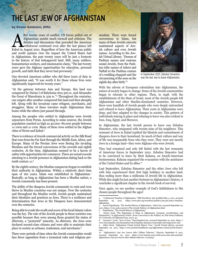# THE LAST JEW OF AFGHANISTAN

#### **by Efraim Goldstein, DMin**

 $\circ$ 

fter twenty years of conflict, US forces pulled out of<br>Afghanistan amidst much turmoil and criticism. The<br>debates and discussions that preceded the American<br>withdrawal continued even after the last planes left<br>Kabul in Aug Afghanistan amidst much turmoil and criticism. The debates and discussions that preceded the American withdrawal continued even after the last planes left Kabul in August 2021. Regardless of how the American public and world opinion view the impact the United States had in Afghanistan, the past twenty years will be just a footnote in the history of that beleaguered land. Still, many soldiers, humanitarian workers, and missionaries claim, "The last twenty years gave the Afghans opportunities for education, personal growth, and faith that they never had previously."

One devoted American soldier who did three tours of duty in Afghanistan said, "It was worth it for those whose lives were significantly improved for twenty years."

"At the gateway between Asia and Europe, this land was conquered by Darius I of Babylonia circa 500 bc, and Alexander the Great of Macedonia in 329 bc."4 Throughout the centuries, one empire after another conquered this land and then abruptly left. Along with the invasions came refugees, merchants, and stragglers. Many of these travelers made Afghanistan their home while the others just passed through.

Among the peoples who settled in Afghanistan were Jewish sojourners from Persia. According to some sources, the Jewish population reached as high as 40,000–80,000 people between AD 1000 and AD 1100. Many of these Jews settled in the Afghan cities of Herut and Kabul.5

There is evidence of Jewish commercial activity on the Silk Road that runs from the Far East through the Middle East, Africa, and Europe. Many of the Persian Jews were fleeing the invading Muslims and the forced conversions of the seventh and eighth centuries. At the time, Afghanistan seemed to be a haven of safety with opportunities for commerce. There are actual records attesting to a Jewish presence in Afghanistan dating back to the tenth century  $\text{AD}.\!^6$ 

By the eighth century, the Muslim conquerors began to establish their authority in Afghanistan. Within a relatively short time span of 160 years, Islam was established in Afghanistan.7 Basically, as long as Afghanistan has been a Muslim nation, a Jewish community has been present.

The ability of the diaspora Jewish community to exist and even thrive in Muslim countries was not unique. Over the centuries and throughout the Muslim world, Jewish people maintained their identities and practices as Jews. There is a resilience and determination that Jews in the Diaspora have demonstrated over the centuries.

Being able to evade the wrath and scorn of the local Islamic rulers was the key. The role of the Jewish people in these societies was possible because they were among those granted the status of *dhimmis*, a "protected" minority. As *dhimmis*, the Jews were declared second-class citizens and were able to maintain their place in society as artisans, tradesmen, and merchants.<sup>8</sup>

There were periods of time when the Jewish communities would face fierce opposition from a tyrannical ruler and religious persecution. There were forced conversions to Islam, but many of these Jewish converts maintained aspects of Jewish culture and even Jewish names. According to the Jewish Virtual Library, "Dozens of Pashtun names and customs sound Jewish, from the Pashtun tribe names of Asheri and Naftali to the Pashtun custom of a wedding *chuppah* and the circumcising of the sons on the eighth day after birth."9



In September 2021, Zebulon Simentov was the last Jew to leave Afghanistan.

With the advent of European colonialism into Afghanistan, the nature of society began to change. Some of the Jewish communities began to relocate to other regions. Then, in 1948, with the establishment of the State of Israel, most of the Jewish people left Afghanistan and other Muslim-dominated countries. However, there were handfuls of Jewish people who were deeply entrenched and refused to leave Afghanistan. Their roots in Afghanistan were deep, and they adapted to the changes in society. This pattern of individuals staying in place and refusing to leave was also evident in Iran, Iraq, Egypt, and Morocco.

In Afghanistan, the last Jewish person to leave was Zebulon Simentov, who emigrated with twenty-nine of his neighbors. This remnant of Jews in Kabul typified the lifestyle and commitment of diaspora Jews to their homeland. So much of their culture and way of life was inseparable from who they were. They were not merely Jews in a foreign land—they were Afghans who were Jewish.

They had remained and only left Kabul with the last remnants of American forces in September 2021. Zebulon Simentov had to be convinced to leave by Moti Kahana, an Israeli-American businessman. Kahana organized the evacuation with the assistance of the United States and its allies.<sup>10</sup>

Last September, Zebulon Simentov and the other Jews who left with him experienced their first high holidays in another land, thus ending more than a millennia of Jewish life in Afghanistan. While this might be just another footnote in Afghanistan's history, it concludes a significant chapter in the Jewish book of survival.

Once again, we see another example of God's faithfulness to His chosen people throughout the ages!

<sup>4 &</sup>quot;A Historical Timeline of Afghanistan," PBS NewsHour, last modified May 4, 2011, accessed 29, 2021, https://www.pbs.org/newshour/politics/asia-jan-june11-timelineafghanistan.

<sup>5</sup> Aaron Feigenbaum, "The Jewish History of Afghanistan," Aish.Com, accessed September 29, 2021, https://www.aish.com/jw/s/The-Jewish-History-of-Afghanistan.html.<br>6 Feigenbaum, "The Jewish History of Afghanistan."

Feigenbaum, "The Jewish History of Afghanistan.

<sup>7</sup> Arezou Azad, "The Beginnings of Islam in Afghanistan: Conquest, Acculturation, and Islamization," in *Afghanistan's Islam: From Conversion to the Taliban,* ed. Nile Green (Oakland, CA: University of California Press, 2017), 42.

<sup>8</sup> Laurence I. Loeb, "Jews of Iran," Encyclopedia.Com, accessed September 29, 2021, https:// www.encyclopedia.com/humanities/encyclopedias-almanacs-transcripts-and-maps/jews-iran.

<sup>9</sup> Alden Oreck, "Afghanistan Virtual Jewish History Tour," Jewish Virtual Library, accessed September 29, 2021, https://www.jewishvirtuallibrary.org/afghanistan-virtual-jewish-historytour.

<sup>10 &</sup>quot;Afghanistan's Last Jew Leaves After Taliban Takeover," *Haaretz,* September 8, 2021, accessed September 29, 2021, https://www.haaretz.com/world-news/asia-and-australia/ afghanistan-s-last-jew-leaves-after-taliban-takeover-1.10191647.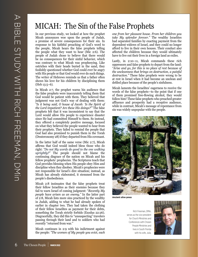## MICAH: The Sin of the False Prophets

In our previous study, we looked at how the prophet Micah announces woe upon the people of Judah, a promise of severe consequences for their sin. In response to his faithful preaching of God's word to the people, Micah hears the false prophets telling the people what they want to hear (Mic 2:6). The people of Judah chose to believe that there would be no consequences for their sinful behavior, which was contrary to what Micah was prophesying. Like ostriches with their heads buried in the sand, they foolishly questioned whether God could ever be angry with His people or that God would ever do such things. The writer of Hebrews reminds us that a father often shows his love for his children by disciplining them (Heb 13:5–6).

In Micah 2:7, the prophet warns his audience that the false prophets were inaccurately telling them that God would be patient with them. They believed that judgment was not God's way of dealing with them: *"Is it being said, O house of Jacob: 'Is the Spirit of the Lord impatient? Are these His doings?'"* The false prophets felt that it was inconsistent to say that the Lord would allow His people to experience disaster since He had committed Himself to them. So instead, they offered a completely positive message, focused on what they believed the people wanted to hear from their prophets. They failed to remind the people that God had also promised to punish them in the Torah (Deuteronomy 28) if they departed from His covenant.

In the latter half of the same verse (Mic 2:7), Micah affirms that God would indeed bless those who do right: *"Do not My words do good to the one walking uprightly?"* The people should not blame the continuing disgrace of the nation on Micah and his fellow prophets' prophecies. The Scriptures teach that God provides blessing when His people obey Him and discipline when they disobey. Micah's prophecies were not responsible for Israel's dire situation; instead, as Micah has already elaborated, it stemmed from the people's disobedience.

Micah 2:8 insinuates that the false prophets treat their fellow Israelites as their enemies because they fail to warn Israel of coming judgment: "*Recently My people have arisen as an enemy."* In the latter part of 2:8, Micah lists more sins practiced by the wealthy in Judah, adding to what he had already spoken of earlier in chapter two. They had taken the clothing of their fellow Israelites as payment for their debts, something the Torah strictly forbids (Exodus 22:26). Disgracefully, they did this to "unsuspecting" travelers passing through their land and to soldiers who had recently "returned from war."

Micah continues in 2:9 with his indictment against the people: *"The women of My people you evict, each* 

*one from her pleasant house. From her children you take My splendor forever."* The wealthy Israelites had separated families by exacting payment from the dependent widows of Israel, and they could no longer afford to live in their own houses. Their conduct also affected the children because they would ultimately have to live out their lives in a foreign land as exiles.

Lastly, in 2:10–11, Micah commands these rich oppressors and false prophets to depart from the land: *"Arise and go, for this is no place of rest because of the uncleanness that brings on destruction, a painful destruction."* These false prophets were wrong to be at rest in Israel when it had become an unclean and defiled place because of the people's sinfulness.

Micah laments the Israelites' eagerness to receive the words of the false prophets—to the point that if one of them promised free-flowing alcohol, they would follow him! These false prophets who preached greater affluence and prosperity had a receptive audience, while in contrast, Micah's message of repentance from sin was widely unpopular with the people.



**Ancient olive press**

Rich Freeman, DMin, serves as the vice president for Church Ministries and Conferences with Chosen People Ministries and lives in South Florida with his wife, Julia.

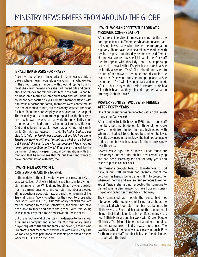## MINISTRY NEWS BRIEFS FROM AROUND THE GLOBE



#### ISRAELI BAKER ASKS FOR PRAYER

Recently, one of our missionaries in Israel walked into a bakery where she immediately saw a young man who worked in the shop stumbling around with blood dripping from his face! She knew the man since she had shared bits and pieces about God's love and Yeshua with him in the past. He had hit his head on a marble counter quite hard and was alone. He could not even focus his eyes. Our staff member stayed with him while a doctor and family members were contacted. As the doctor tended to him, our missionary watched the shop for him. Then, the shop employee was taken to the hospital. The next day, our staff member popped into the bakery to see how he was. He was back at work, though still dizzy and in some pain. He had a concussion. In past conversations on God and religion, he would never say anything but simply smile. On this day, however, he said, *"So I think God had you stop in to help me. I might have passed out and laid here alone. Thanks for staying with me. I'm not sure what or if I believe, but I would like you to pray for me because I know you do have some connection up there."* Please pray this will be the beginning of much deeper spiritual conversations with this man and that he would see that Yeshua loves and wants to have that connection with him, too!

#### JEWISH MAN ASSISTS IN A CRISIS AND HEARS THE GOSPEL

In the middle of the cold winter weeks, our missionary's car was vandalized. A Jewish friend asked her son to give our staff member a ride. While riding together, the young Jewish man had many questions, and our staff member answered all his questions about eternity, sin, and the meaning of life. Truly, all things "work together for the good to those who love God" (Romans 8:28). Our missionary thanked the Lord for the damage to the car—otherwise, she would not have been able to meet and share the gospel with this young Jewish man! Pray for him to find salvation—he is not far!

But this is not the end of the story. The damage to the car was assessed as complex and expensive. Our missionary sent a prayer request to friends and family. In the end, a friend who is a professional mechanic fixed the car within a few days. He was able to get the parts for a reasonable price and did all the work for FREE! Praise the Lord!

#### JEWISH WOMAN ACCEPTS THE LORD AT A MESSIANIC CONGREGATION

After a recent service at a messianic congregation, the Lord spoke to our staff member's heart about a not-yetbelieving Jewish lady who attends the congregation regularly. There have been several conversations with her in the past, but this day seemed very different. No one was aware how special it would be. Our staff member spoke with this lady about some pressing issues. He then asked her if she believed in Yeshua. She hesitantly answered, "Yes." Since she did not seem to be sure of her answer, after some more discussion, he asked her if she would consider accepting Yeshua. She responded, "Yes," with joy on her face and in her heart. After a short prayer, the perfect *shalom* of Yeshua filled their hearts as they rejoiced together! What an amazing Sabbath it was!

#### PRAYER REUNITES TWO JEWISH FRIENDS AFTER FORTY YEARS

One of our missionaries reconnected with an old Jewish friend after *forty years!* 

After coming to faith back in 1976, one of our staff members became burdened for three of her close Jewish friends from junior high and high school with whom she had lost touch before becoming a believer. Despite advances in technology, she had not been able to find them, but she has prayed for them unceasingly over the years.

Several weeks ago, one of those friends found our missionary's number and left her a voicemail saying she had been searching for her for forty years and asked to please call her back.

Her message brought tears of thankfulness to God because our staff member had recently sought the Lord on this friend's behalf, asking Him to protect her wherever she was and even *to send someone to tell her about Yeshua.* She had not expected the someone to be her! What a clear answer to prayer! Our missionary prayed and called her friend back right away.

They connected as though the years had not intervened. After joyfully reminiscing for an hour, the friend asked what our staff member had been up to all these years. She told her about the monumental change that had taken place in her life so many years ago, faith in Messiah, and her work with Chosen People Ministries. The friend listened, not arguing or judging, and reiterating how thrilled she was to reconnect. The two high school friends now stay closely in touch. Pray for them as our staff member helps her friend also get in touch with the Lord!